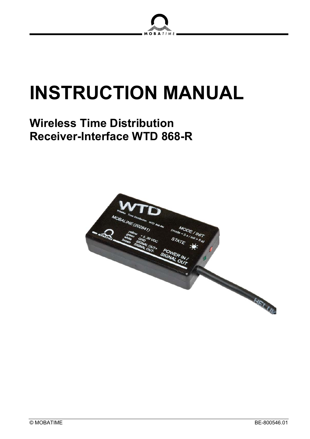

# **INSTRUCTION MANUAL**

# **Wireless Time Distribution Receiver-Interface WTD 868-R**

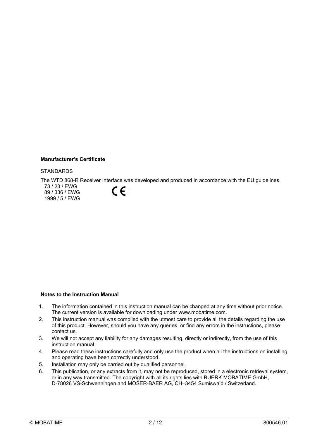#### **Manufacturer's Certificate**

#### **STANDARDS**

The WTD 868-R Receiver Interface was developed and produced in accordance with the EU guidelines.

73 / 23 / EWG 89 / 336 / EWG 1999 / 5 / EWG



#### **Notes to the Instruction Manual**

- 1. The information contained in this instruction manual can be changed at any time without prior notice. The current version is available for downloading under www.mobatime.com.
- 2. This instruction manual was compiled with the utmost care to provide all the details regarding the use of this product. However, should you have any queries, or find any errors in the instructions, please contact us.
- 3. We will not accept any liability for any damages resulting, directly or indirectly, from the use of this instruction manual.
- 4. Please read these instructions carefully and only use the product when all the instructions on installing and operating have been correctly understood.
- 5. Installation may only be carried out by qualified personnel.
- 6. This publication, or any extracts from it, may not be reproduced, stored in a electronic retrieval system, or in any way transmitted. The copyright with all its rights lies with BUERK MOBATIME GmbH, D-78026 VS-Schwenningen and MOSER-BAER AG, CH–3454 Sumiswald / Switzerland.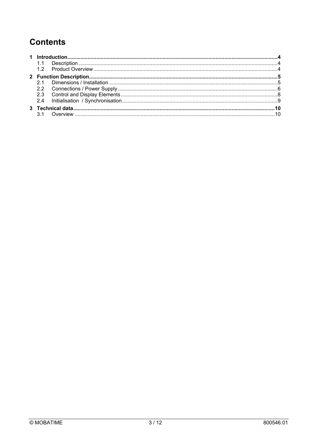# **Contents**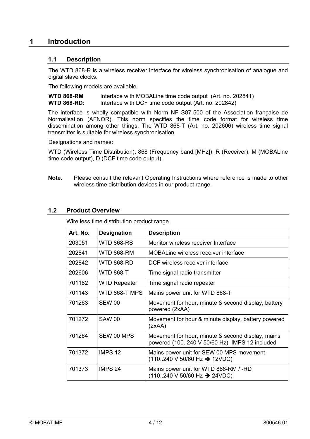# **1 Introduction**

## **1.1 Description**

The WTD 868-R is a wireless receiver interface for wireless synchronisation of analogue and digital slave clocks.

The following models are available.

**WTD 868-RM** Interface with MOBALine time code output (Art. no. 202841) **WTD 868-RD:** Interface with DCF time code output (Art. no. 202842)

The interface is wholly compatible with Norm NF S87-500 of the Association française de Normalisation (AFNOR). This norm specifies the time code format for wireless time dissemination among other things. The WTD 868-T (Art. no. 202606) wireless time signal transmitter is suitable for wireless synchronisation.

Designations and names:

WTD (Wireless Time Distribution), 868 (Frequency band [MHz]), R (Receiver), M (MOBALine time code output), D (DCF time code output).

**Note.** Please consult the relevant Operating Instructions where reference is made to other wireless time distribution devices in our product range.

#### **1.2 Product Overview**

| Art. No. | <b>Designation</b>  | <b>Description</b>                                                                                        |
|----------|---------------------|-----------------------------------------------------------------------------------------------------------|
| 203051   | WTD 868-RS          | Monitor wireless receiver Interface                                                                       |
| 202841   | <b>WTD 868-RM</b>   | MOBALine wireless receiver interface                                                                      |
| 202842   | WTD 868-RD          | DCF wireless receiver interface                                                                           |
| 202606   | <b>WTD 868-T</b>    | Time signal radio transmitter                                                                             |
| 701182   | <b>WTD Repeater</b> | Time signal radio repeater                                                                                |
| 701143   | WTD 868-T MPS       | Mains power unit for WTD 868-T                                                                            |
| 701263   | <b>SEW 00</b>       | Movement for hour, minute & second display, battery<br>powered (2xAA)                                     |
| 701272   | <b>SAW 00</b>       | Movement for hour & minute display, battery powered<br>(2xAA)                                             |
| 701264   | SEW 00 MPS          | Movement for hour, minute & second display, mains<br>powered (100240 V 50/60 Hz), IMPS 12 included        |
| 701372   | IMPS <sub>12</sub>  | Mains power unit for SEW 00 MPS movement<br>(110240 V 50/60 Hz → 12VDC)                                   |
| 701373   | IMPS 24             | Mains power unit for WTD 868-RM / -RD<br>$(110240 \text{ V } 50/60 \text{ Hz} \rightarrow 24 \text{VDC})$ |

Wire less time distribution product range.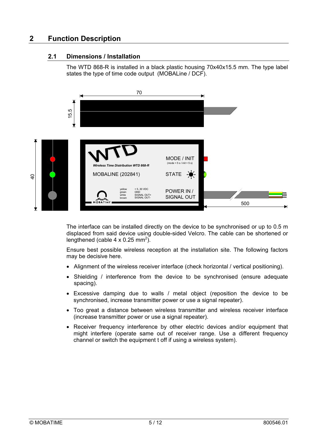# **2 Function Description**

## **2.1 Dimensions / Installation**

The WTD 868-R is installed in a black plastic housing 70x40x15.5 mm. The type label states the type of time code output (MOBALine / DCF).



The interface can be installed directly on the device to be synchronised or up to 0.5 m displaced from said device using double-sided Velcro. The cable can be shortened or lengthened (cable  $4 \times 0.25$  mm<sup>2</sup>).

Ensure best possible wireless reception at the installation site. The following factors may be decisive here.

- Alignment of the wireless receiver interface (check horizontal / vertical positioning).
- Shielding / interference from the device to be synchronised (ensure adequate spacing).
- Excessive damping due to walls / metal object (reposition the device to be synchronised, increase transmitter power or use a signal repeater).
- Too great a distance between wireless transmitter and wireless receiver interface (increase transmitter power or use a signal repeater).
- Receiver frequency interference by other electric devices and/or equipment that might interfere (operate same out of receiver range. Use a different frequency channel or switch the equipment t off if using a wireless system).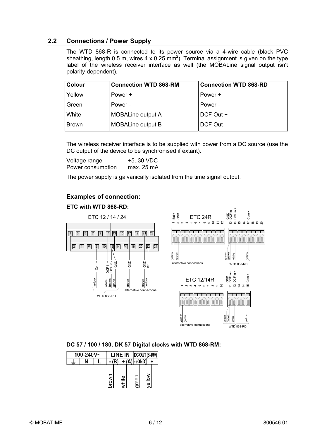# **2.2 Connections / Power Supply**

The WTD 868-R is connected to its power source via a 4-wire cable (black PVC sheathing, length 0.5 m, wires 4 x 0.25 mm<sup>2</sup>). Terminal assignment is given on the type label of the wireless receiver interface as well (the MOBALine signal output isn't polarity-dependent).

| <b>Colour</b> | <b>Connection WTD 868-RM</b> | <b>Connection WTD 868-RD</b> |
|---------------|------------------------------|------------------------------|
| Yellow        | Power +                      | Power +                      |
| Green         | Power -                      | Power -                      |
| White         | <b>MOBALine output A</b>     | DCF Out +                    |
| <b>Brown</b>  | <b>MOBALine output B</b>     | DCF Out -                    |

The wireless receiver interface is to be supplied with power from a DC source (use the DC output of the device to be synchronised if extant).

| Voltage range     | +5.30 VDC  |
|-------------------|------------|
| Power consumption | max. 25 mA |

The power supply is galvanically isolated from the time signal output.

## **Examples of connection:**

#### **ETC with WTD 868-RD:**



#### **DC 57 / 100 / 180, DK 57 Digital clocks with WTD 868-RM:**

| 100-240V~ |  |       | LINE IN |       |  | <b>DC OUT (8-19V)</b> |  |        |  |
|-----------|--|-------|---------|-------|--|-----------------------|--|--------|--|
| N         |  |       |         |       |  |                       |  |        |  |
|           |  | hrown |         | white |  | reen                  |  | volley |  |

WTD 868-RD

.<br>hative connections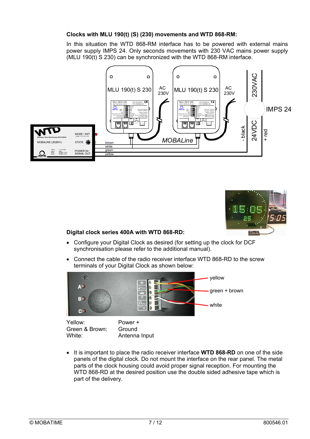#### **Clocks with MLU 190(t) (S) (230) movements and WTD 868-RM:**

In this situation the WTD 868-RM interface has to be powered with external mains power supply IMPS 24. Only seconds movements with 230 VAC mains power supply (MLU 190(t) S 230) can be synchronized with the WTD 868-RM interface.





# **Digital clock series 400A with WTD 868-RD:**

- Configure your Digital Clock as desired (for setting up the clock for DCF synchronisation please refer to the additional manual).
- Connect the cable of the radio receiver interface WTD 868-RD to the screw terminals of your Digital Clock as shown below:



Yellow: Power + Green & Brown: Ground White: **Antenna Input** 

• It is important to place the radio receiver interface **WTD 868-RD** on one of the side panels of the digital clock. Do not mount the interface on the rear panel. The metal parts of the clock housing could avoid proper signal reception. For mounting the WTD 868-RD at the desired position use the double sided adhesive tape which is part of the delivery.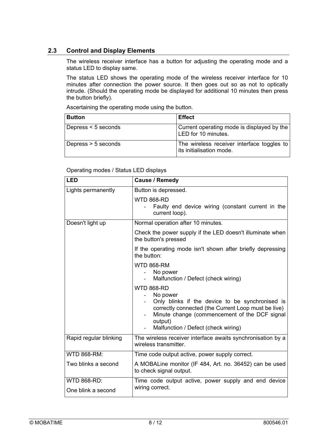# **2.3 Control and Display Elements**

The wireless receiver interface has a button for adjusting the operating mode and a status LED to display same.

The status LED shows the operating mode of the wireless receiver interface for 10 minutes after connection the power source. It then goes out so as not to optically intrude. (Should the operating mode be displayed for additional 10 minutes then press the button briefly).

Ascertaining the operating mode using the button.

| <b>Button</b>         | <b>Effect</b>                                                          |
|-----------------------|------------------------------------------------------------------------|
| Depress $<$ 5 seconds | Current operating mode is displayed by the<br>LED for 10 minutes.      |
| Depress > 5 seconds   | The wireless receiver interface toggles to<br>its initialisation mode. |

Operating modes / Status LED displays

| <b>LED</b>             | <b>Cause / Remedy</b>                                                                                                                                                                                                                      |  |  |  |
|------------------------|--------------------------------------------------------------------------------------------------------------------------------------------------------------------------------------------------------------------------------------------|--|--|--|
| Lights permanently     | Button is depressed.                                                                                                                                                                                                                       |  |  |  |
|                        | <b>WTD 868-RD</b><br>Faulty end device wiring (constant current in the<br>current loop).                                                                                                                                                   |  |  |  |
| Doesn't light up       | Normal operation after 10 minutes.                                                                                                                                                                                                         |  |  |  |
|                        | Check the power supply if the LED doesn't illuminate when<br>the button's pressed                                                                                                                                                          |  |  |  |
|                        | If the operating mode isn't shown after briefly depressing<br>the button:                                                                                                                                                                  |  |  |  |
|                        | <b>WTD 868-RM</b><br>No power<br>Malfunction / Defect (check wiring)                                                                                                                                                                       |  |  |  |
|                        | <b>WTD 868-RD</b><br>No power<br>Only blinks if the device to be synchronised is<br>correctly connected (the Current Loop must be live)<br>Minute change (commencement of the DCF signal<br>output)<br>Malfunction / Defect (check wiring) |  |  |  |
| Rapid regular blinking | The wireless receiver interface awaits synchronisation by a<br>wireless transmitter.                                                                                                                                                       |  |  |  |
| <b>WTD 868-RM:</b>     | Time code output active, power supply correct.                                                                                                                                                                                             |  |  |  |
| Two blinks a second    | A MOBALine monitor (IF 484, Art. no. 36452) can be used<br>to check signal output.                                                                                                                                                         |  |  |  |
| <b>WTD 868-RD:</b>     | Time code output active, power supply and end device                                                                                                                                                                                       |  |  |  |
| One blink a second     | wiring correct.                                                                                                                                                                                                                            |  |  |  |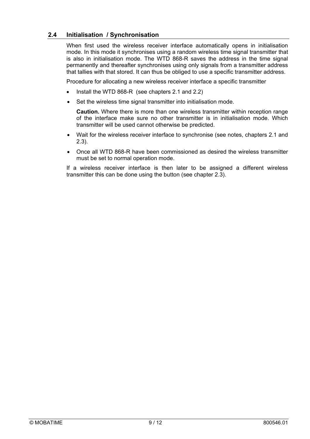## **2.4 Initialisation / Synchronisation**

When first used the wireless receiver interface automatically opens in initialisation mode. In this mode it synchronises using a random wireless time signal transmitter that is also in initialisation mode. The WTD 868-R saves the address in the time signal permanently and thereafter synchronises using only signals from a transmitter address that tallies with that stored. It can thus be obliged to use a specific transmitter address.

Procedure for allocating a new wireless receiver interface a specific transmitter

- Install the WTD 868-R (see chapters 2.1 and 2.2)
- Set the wireless time signal transmitter into initialisation mode.

**Caution.** Where there is more than one wireless transmitter within reception range of the interface make sure no other transmitter is in initialisation mode. Which transmitter will be used cannot otherwise be predicted.

- Wait for the wireless receiver interface to synchronise (see notes, chapters 2.1 and 2.3).
- Once all WTD 868-R have been commissioned as desired the wireless transmitter must be set to normal operation mode.

If a wireless receiver interface is then later to be assigned a different wireless transmitter this can be done using the button (see chapter 2.3).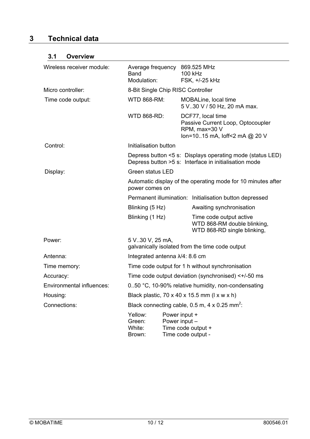# **3 Technical data**

# **3.1 Overview**

| Wireless receiver module: | Average frequency 869.525 MHz<br>Band<br>Modulation:                                                               | 100 kHz<br>FSK, +/-25 kHz                                                                                |  |  |
|---------------------------|--------------------------------------------------------------------------------------------------------------------|----------------------------------------------------------------------------------------------------------|--|--|
| Micro controller:         | 8-Bit Single Chip RISC Controller                                                                                  |                                                                                                          |  |  |
| Time code output:         | <b>WTD 868-RM:</b>                                                                                                 | MOBALine, local time<br>5 V30 V / 50 Hz, 20 mA max.                                                      |  |  |
|                           | <b>WTD 868-RD:</b>                                                                                                 | DCF77, local time<br>Passive Current Loop, Optocoupler<br>RPM, max=30 V<br>lon=1015 mA, loff<2 mA @ 20 V |  |  |
| Control:                  | Initialisation button                                                                                              |                                                                                                          |  |  |
|                           | Depress button <5 s: Displays operating mode (status LED)<br>Depress button >5 s: Interface in initialisation mode |                                                                                                          |  |  |
| Display:                  | <b>Green status LED</b>                                                                                            |                                                                                                          |  |  |
|                           | Automatic display of the operating mode for 10 minutes after<br>power comes on                                     |                                                                                                          |  |  |
|                           |                                                                                                                    | Permanent illumination: Initialisation button depressed                                                  |  |  |
|                           | Blinking (5 Hz)                                                                                                    | Awaiting synchronisation                                                                                 |  |  |
|                           | Blinking (1 Hz)                                                                                                    | Time code output active<br>WTD 868-RM double blinking,<br>WTD 868-RD single blinking,                    |  |  |
| Power:                    | 5 V.30 V, 25 mA,<br>galvanically isolated from the time code output                                                |                                                                                                          |  |  |
| Antenna:                  | Integrated antenna $\lambda/4$ : 8.6 cm                                                                            |                                                                                                          |  |  |
| Time memory:              | Time code output for 1 h without synchronisation                                                                   |                                                                                                          |  |  |
| Accuracy:                 | Time code output deviation (synchronised) $<+/-50$ ms                                                              |                                                                                                          |  |  |
| Environmental influences: | 0.50 °C, 10-90% relative humidity, non-condensating                                                                |                                                                                                          |  |  |
| Housing:                  | Black plastic, $70 \times 40 \times 15.5$ mm ( $1 \times w \times h$ )                                             |                                                                                                          |  |  |
| Connections:              | Black connecting cable, 0.5 m, 4 x 0.25 mm <sup>2</sup> :                                                          |                                                                                                          |  |  |
|                           | Yellow:<br>Green:<br>White:<br>Brown:                                                                              | Power input +<br>Power input -<br>Time code output +<br>Time code output -                               |  |  |